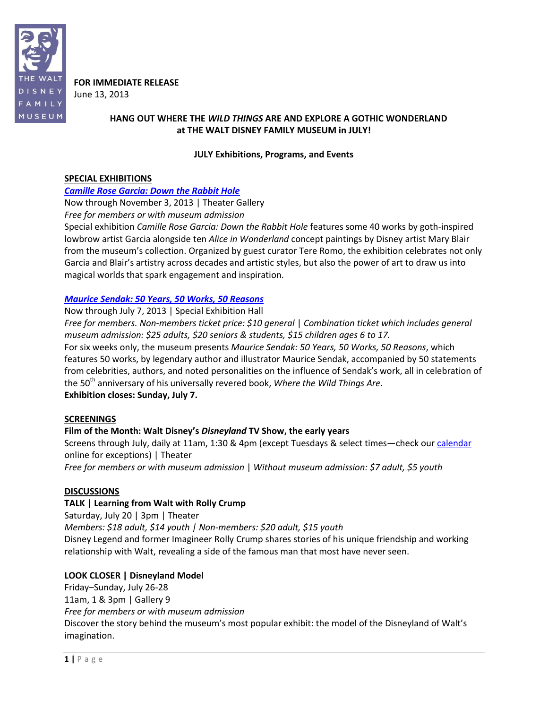

**FOR IMMEDIATE RELEASE** June 13, 2013

## **HANG OUT WHERE THE** *WILD THINGS* **ARE AND EXPLORE A GOTHIC WONDERLAND at THE WALT DISNEY FAMILY MUSEUM in JULY!**

#### **JULY Exhibitions, Programs, and Events**

#### **SPECIAL EXHIBITIONS**

## *[Camille Rose Garcia: Down the Rabbit Hole](http://www.waltdisney.org/garcia)*

Now through November 3, 2013 | Theater Gallery *Free for members or with museum admission*

Special exhibition *Camille Rose Garcia: Down the Rabbit Hole* features some 40 works by goth-inspired lowbrow artist Garcia alongside ten *Alice in Wonderland* concept paintings by Disney artist Mary Blair from the museum's collection. Organized by guest curator Tere Romo, the exhibition celebrates not only Garcia and Blair's artistry across decades and artistic styles, but also the power of art to draw us into magical worlds that spark engagement and inspiration.

## *[Maurice Sendak: 50 Years, 50 Works, 50 Reasons](http://www.waltdisney.org/sendak)*

Now through July 7, 2013 | Special Exhibition Hall

*Free for members. Non-members ticket price: \$10 general* | *Combination ticket which includes general museum admission: \$25 adults, \$20 seniors & students, \$15 children ages 6 to 17.*

For six weeks only, the museum presents *Maurice Sendak: 50 Years, 50 Works, 50 Reasons*, which features 50 works, by legendary author and illustrator Maurice Sendak, accompanied by 50 statements from celebrities, authors, and noted personalities on the influence of Sendak's work, all in celebration of the 50<sup>th</sup> anniversary of his universally revered book, Where the Wild Things Are.

**Exhibition closes: Sunday, July 7.** 

## **SCREENINGS**

## **Film of the Month: Walt Disney's** *Disneyland* **TV Show, the early years**

Screens through July, daily at 11am, 1:30 & 4pm (except Tuesdays & select times—check our [calendar](http://www.waltdisney.org/calendar) online for exceptions) | Theater

*Free for members or with museum admission* | *Without museum admission: \$7 adult, \$5 youth*

## **DISCUSSIONS**

## **TALK | Learning from Walt with Rolly Crump**

Saturday, July 20 | 3pm | Theater

*Members: \$18 adult, \$14 youth | Non-members: \$20 adult, \$15 youth* Disney Legend and former Imagineer Rolly Crump shares stories of his unique friendship and working relationship with Walt, revealing a side of the famous man that most have never seen.

## **LOOK CLOSER | Disneyland Model**

Friday–Sunday, July 26-28 11am, 1 & 3pm | Gallery 9 *Free for members or with museum admission* Discover the story behind the museum's most popular exhibit: the model of the Disneyland of Walt's imagination.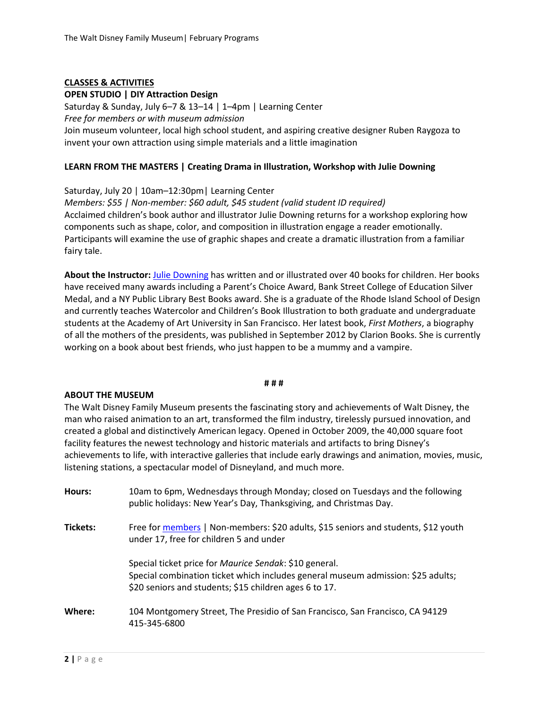# **CLASSES & ACTIVITIES**

#### **OPEN STUDIO | DIY Attraction Design**

Saturday & Sunday, July 6–7 & 13–14 | 1–4pm | Learning Center *Free for members or with museum admission* Join museum volunteer, local high school student, and aspiring creative designer Ruben Raygoza to invent your own attraction using simple materials and a little imagination

#### **LEARN FROM THE MASTERS | Creating Drama in Illustration, Workshop with Julie Downing**

Saturday, July 20 | 10am–12:30pm| Learning Center *Members: \$55 | Non-member: \$60 adult, \$45 student (valid student ID required)* Acclaimed children's book author and illustrator Julie Downing returns for a workshop exploring how components such as shape, color, and composition in illustration engage a reader emotionally. Participants will examine the use of graphic shapes and create a dramatic illustration from a familiar fairy tale.

**About the Instructor:** [Julie Downing](http://www.juliedowning.com/) has written and or illustrated over 40 books for children. Her books have received many awards including a Parent's Choice Award, Bank Street College of Education Silver Medal, and a NY Public Library Best Books award. She is a graduate of the Rhode Island School of Design and currently teaches Watercolor and Children's Book Illustration to both graduate and undergraduate students at the Academy of Art University in San Francisco. Her latest book, *First Mothers*, a biography of all the mothers of the presidents, was published in September 2012 by Clarion Books. She is currently working on a book about best friends, who just happen to be a mummy and a vampire.

#### **# # #**

#### **ABOUT THE MUSEUM**

The Walt Disney Family Museum presents the fascinating story and achievements of Walt Disney, the man who raised animation to an art, transformed the film industry, tirelessly pursued innovation, and created a global and distinctively American legacy. Opened in October 2009, the 40,000 square foot facility features the newest technology and historic materials and artifacts to bring Disney's achievements to life, with interactive galleries that include early drawings and animation, movies, music, listening stations, a spectacular model of Disneyland, and much more.

| Hours:   | 10am to 6pm, Wednesdays through Monday; closed on Tuesdays and the following<br>public holidays: New Year's Day, Thanksgiving, and Christmas Day.                                                    |
|----------|------------------------------------------------------------------------------------------------------------------------------------------------------------------------------------------------------|
| Tickets: | Free for members   Non-members: \$20 adults, \$15 seniors and students, \$12 youth<br>under 17, free for children 5 and under                                                                        |
|          | Special ticket price for Maurice Sendak: \$10 general.<br>Special combination ticket which includes general museum admission: \$25 adults;<br>\$20 seniors and students; \$15 children ages 6 to 17. |
| Where:   | 104 Montgomery Street, The Presidio of San Francisco, San Francisco, CA 94129<br>415-345-6800                                                                                                        |